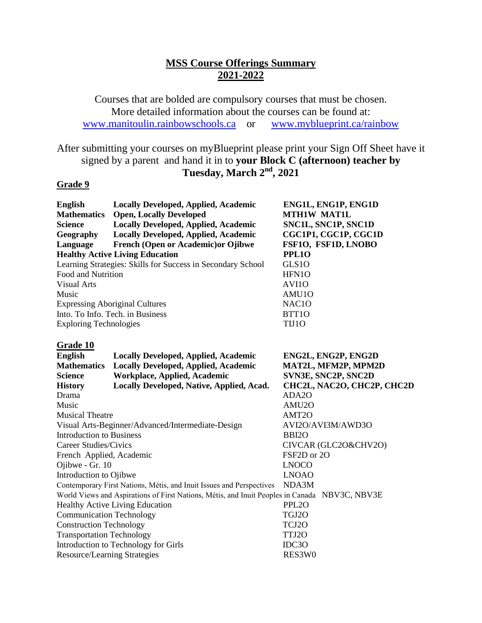### **MSS Course Offerings Summary 2021-2022**

Courses that are bolded are compulsory courses that must be chosen. More detailed information about the courses can be found at: [www.manitoulin.rainbowschools.ca](http://www.manitoulin.rainbowschools.ca/) or [www.myblueprint.ca/rainbow](http://www.myblueprint.ca/rainbow)

## After submitting your courses on myBlueprint please print your Sign Off Sheet have it signed by a parent and hand it in to **your Block C (afternoon) teacher by Tuesday, March 2 nd, 2021**

### **Grade 9**

| <b>English</b>                                              | <b>Locally Developed, Applied, Academic</b>                                                   | ENG1L, ENG1P, ENG1D        |  |
|-------------------------------------------------------------|-----------------------------------------------------------------------------------------------|----------------------------|--|
| <b>Mathematics</b>                                          | <b>Open, Locally Developed</b>                                                                | <b>MTH1W MAT1L</b>         |  |
| <b>Science</b>                                              | <b>Locally Developed, Applied, Academic</b>                                                   | SNC1L, SNC1P, SNC1D        |  |
| Geography                                                   | Locally Developed, Applied, Academic                                                          | CGC1P1, CGC1P, CGC1D       |  |
| Language                                                    | French (Open or Academic) or Ojibwe                                                           | FSF10, FSF1D, LNOBO        |  |
|                                                             | <b>Healthy Active Living Education</b>                                                        | <b>PPL10</b>               |  |
| Learning Strategies: Skills for Success in Secondary School |                                                                                               | GLS10                      |  |
| Food and Nutrition                                          |                                                                                               | HFN1O                      |  |
| <b>Visual Arts</b>                                          |                                                                                               | AVI10                      |  |
| Music                                                       |                                                                                               | AMU10                      |  |
| <b>Expressing Aboriginal Cultures</b>                       |                                                                                               | NAC <sub>10</sub>          |  |
| Into. To Info. Tech. in Business                            |                                                                                               | BTT1O                      |  |
| <b>Exploring Technologies</b>                               |                                                                                               | TIJ10                      |  |
| Grade 10                                                    |                                                                                               |                            |  |
| <b>English</b>                                              | <b>Locally Developed, Applied, Academic</b>                                                   | ENG2L, ENG2P, ENG2D        |  |
| <b>Mathematics</b>                                          | <b>Locally Developed, Applied, Academic</b>                                                   | MAT2L, MFM2P, MPM2D        |  |
| <b>Science</b>                                              | <b>Workplace, Applied, Academic</b>                                                           | SVN3E, SNC2P, SNC2D        |  |
| <b>History</b>                                              | Locally Developed, Native, Applied, Acad.                                                     | CHC2L, NAC2O, CHC2P, CHC2D |  |
| Drama                                                       |                                                                                               | ADA2O                      |  |
| Music                                                       |                                                                                               | AMU <sub>20</sub>          |  |
| <b>Musical Theatre</b>                                      |                                                                                               | AMT2O                      |  |
|                                                             | Visual Arts-Beginner/Advanced/Intermediate-Design                                             | AVI2O/AVI3M/AWD3O          |  |
| <b>Introduction to Business</b>                             |                                                                                               | BBI <sub>20</sub>          |  |
| Career Studies/Civics                                       |                                                                                               | CIVCAR (GLC2O&CHV2O)       |  |
| French Applied, Academic                                    |                                                                                               | FSF2D or 2O                |  |
| Ojibwe - Gr. 10                                             |                                                                                               | <b>LNOCO</b>               |  |
| Introduction to Ojibwe                                      |                                                                                               | <b>LNOAO</b>               |  |
|                                                             | Contemporary First Nations, Métis, and Inuit Issues and Perspectives                          | NDA3M                      |  |
|                                                             | World Views and Aspirations of First Nations, Métis, and Inuit Peoples in Canada NBV3C, NBV3E |                            |  |
| <b>Healthy Active Living Education</b>                      |                                                                                               | PPL <sub>20</sub>          |  |
| <b>Communication Technology</b>                             |                                                                                               | TGJ2O                      |  |
| <b>Construction Technology</b>                              |                                                                                               | TCJ2O                      |  |
| <b>Transportation Technology</b>                            |                                                                                               | TTJ2O                      |  |
| Introduction to Technology for Girls                        |                                                                                               | IDC30                      |  |
| <b>Resource/Learning Strategies</b>                         |                                                                                               | RES3W0                     |  |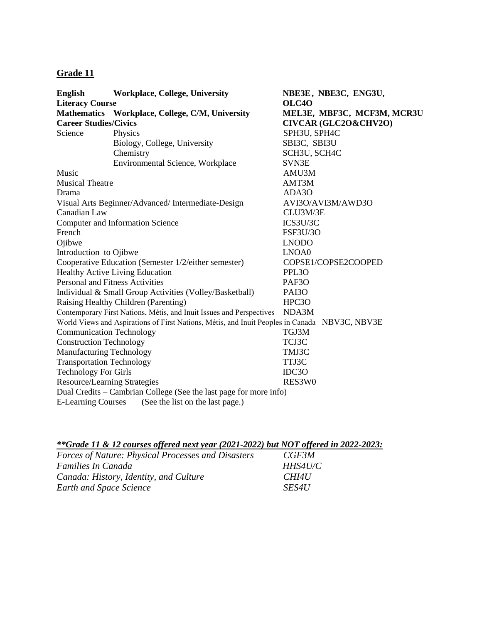### **Grade 11**

| <b>English</b>                                          | <b>Workplace, College, University</b>                                                         | NBE3E, NBE3C, ENG3U,       |
|---------------------------------------------------------|-----------------------------------------------------------------------------------------------|----------------------------|
| <b>Literacy Course</b>                                  |                                                                                               | OLC <sub>40</sub>          |
|                                                         | Mathematics Workplace, College, C/M, University                                               | MEL3E, MBF3C, MCF3M, MCR3U |
| <b>Career Studies/Civics</b>                            |                                                                                               | CIVCAR (GLC2O&CHV2O)       |
| Science                                                 | Physics                                                                                       | SPH3U, SPH4C               |
|                                                         | Biology, College, University                                                                  | SBI3C, SBI3U               |
|                                                         | Chemistry                                                                                     | SCH3U, SCH4C               |
|                                                         | Environmental Science, Workplace                                                              | SVN3E                      |
| Music                                                   |                                                                                               | AMU3M                      |
| <b>Musical Theatre</b>                                  |                                                                                               | AMT3M                      |
| Drama                                                   |                                                                                               | ADA3O                      |
| Visual Arts Beginner/Advanced/Intermediate-Design       |                                                                                               | AVI3O/AVI3M/AWD3O          |
| Canadian Law                                            |                                                                                               | CLU3M/3E                   |
| Computer and Information Science                        |                                                                                               | ICS3U/3C                   |
| French                                                  |                                                                                               | <b>FSF3U/3O</b>            |
| Ojibwe                                                  |                                                                                               | <b>LNODO</b>               |
| Introduction to Ojibwe                                  |                                                                                               | LNOA0                      |
| Cooperative Education (Semester 1/2/either semester)    |                                                                                               | COPSE1/COPSE2COOPED        |
| Healthy Active Living Education                         |                                                                                               | PPL <sub>30</sub>          |
| <b>Personal and Fitness Activities</b>                  |                                                                                               | PAF3O                      |
| Individual & Small Group Activities (Volley/Basketball) |                                                                                               | PAI3O                      |
| Raising Healthy Children (Parenting)                    |                                                                                               | HPC3O                      |
|                                                         | Contemporary First Nations, Métis, and Inuit Issues and Perspectives                          | NDA3M                      |
|                                                         | World Views and Aspirations of First Nations, Métis, and Inuit Peoples in Canada NBV3C, NBV3E |                            |
| <b>Communication Technology</b>                         |                                                                                               | TGJ3M                      |
| <b>Construction Technology</b>                          |                                                                                               | TCJ3C                      |
| <b>Manufacturing Technology</b>                         |                                                                                               | TMJ3C                      |
| <b>Transportation Technology</b>                        |                                                                                               | TTJ3C                      |
| <b>Technology For Girls</b>                             |                                                                                               | IDC3O                      |
| <b>Resource/Learning Strategies</b>                     |                                                                                               | RES3W0                     |
|                                                         | Dual Credits – Cambrian College (See the last page for more info)                             |                            |
| <b>E-Learning Courses</b>                               | (See the list on the last page.)                                                              |                            |

| **Grade 11 & 12 courses offered next year (2021-2022) but NOT offered in 2022-2023: |              |
|-------------------------------------------------------------------------------------|--------------|
| <b>Forces of Nature: Physical Processes and Disasters</b>                           | CGF3M        |
| Families In Canada                                                                  | HHS4U/C      |
| Canada: History, Identity, and Culture                                              | CHI4U        |
| <b>Earth and Space Science</b>                                                      | <i>SES4U</i> |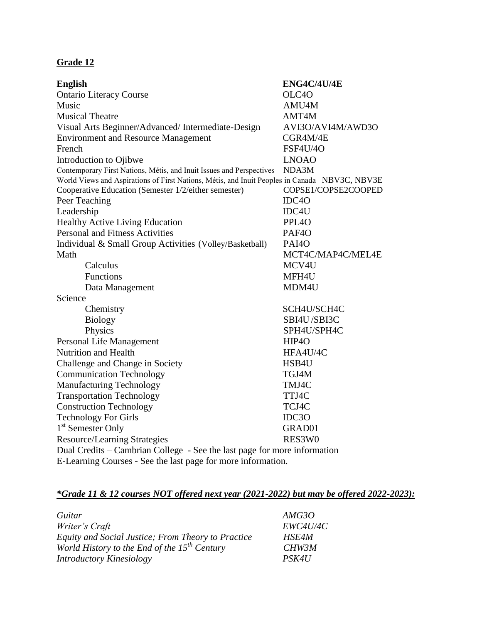## **Grade 12**

| <b>English</b>                                                                                | ENG4C/4U/4E         |  |
|-----------------------------------------------------------------------------------------------|---------------------|--|
| <b>Ontario Literacy Course</b>                                                                | OLC <sub>4</sub> O  |  |
| Music                                                                                         | AMU4M               |  |
| <b>Musical Theatre</b>                                                                        | AMT4M               |  |
| Visual Arts Beginner/Advanced/Intermediate-Design                                             | AVI3O/AVI4M/AWD3O   |  |
| <b>Environment and Resource Management</b>                                                    | CGR4M/4E            |  |
| French                                                                                        | <b>FSF4U/4O</b>     |  |
| Introduction to Ojibwe                                                                        | <b>LNOAO</b>        |  |
| Contemporary First Nations, Métis, and Inuit Issues and Perspectives                          | NDA3M               |  |
| World Views and Aspirations of First Nations, Métis, and Inuit Peoples in Canada NBV3C, NBV3E |                     |  |
| Cooperative Education (Semester 1/2/either semester)                                          | COPSE1/COPSE2COOPED |  |
| Peer Teaching                                                                                 | IDC <sub>40</sub>   |  |
| Leadership                                                                                    | IDC4U               |  |
| <b>Healthy Active Living Education</b>                                                        | PPL <sub>40</sub>   |  |
| <b>Personal and Fitness Activities</b>                                                        | PAF <sub>40</sub>   |  |
| Individual & Small Group Activities (Volley/Basketball)                                       | PAI <sub>40</sub>   |  |
| Math                                                                                          | MCT4C/MAP4C/MEL4E   |  |
| Calculus                                                                                      | MCV4U               |  |
| Functions                                                                                     | MFH4U               |  |
| Data Management                                                                               | MDM4U               |  |
| Science                                                                                       |                     |  |
| Chemistry                                                                                     | SCH4U/SCH4C         |  |
| <b>Biology</b>                                                                                | SBI4U/SBI3C         |  |
| Physics                                                                                       | SPH4U/SPH4C         |  |
| Personal Life Management                                                                      | HIP4O               |  |
| Nutrition and Health                                                                          | HFA4U/4C            |  |
| Challenge and Change in Society                                                               | HSB4U               |  |
| <b>Communication Technology</b>                                                               | TGJ4M               |  |
| <b>Manufacturing Technology</b>                                                               | TMJ4C               |  |
| <b>Transportation Technology</b>                                                              | TTJ4C               |  |
| <b>Construction Technology</b>                                                                | TCJ4C               |  |
| <b>Technology For Girls</b>                                                                   | IDC3O               |  |
| 1 <sup>st</sup> Semester Only                                                                 | GRAD01              |  |
| <b>Resource/Learning Strategies</b>                                                           | RES3W0              |  |
| Dual Credits – Cambrian College - See the last page for more information                      |                     |  |
| E-Learning Courses - See the last page for more information.                                  |                     |  |

# *\*Grade 11 & 12 courses NOT offered next year (2021-2022) but may be offered 2022-2023):*

| Guitar                                             | AMG3O        |
|----------------------------------------------------|--------------|
| Writer's Craft                                     | EWC4U/4C     |
| Equity and Social Justice; From Theory to Practice | <b>HSE4M</b> |
| World History to the End of the $15^{th}$ Century  | CHW3M        |
| <b>Introductory Kinesiology</b>                    | PSK4U        |